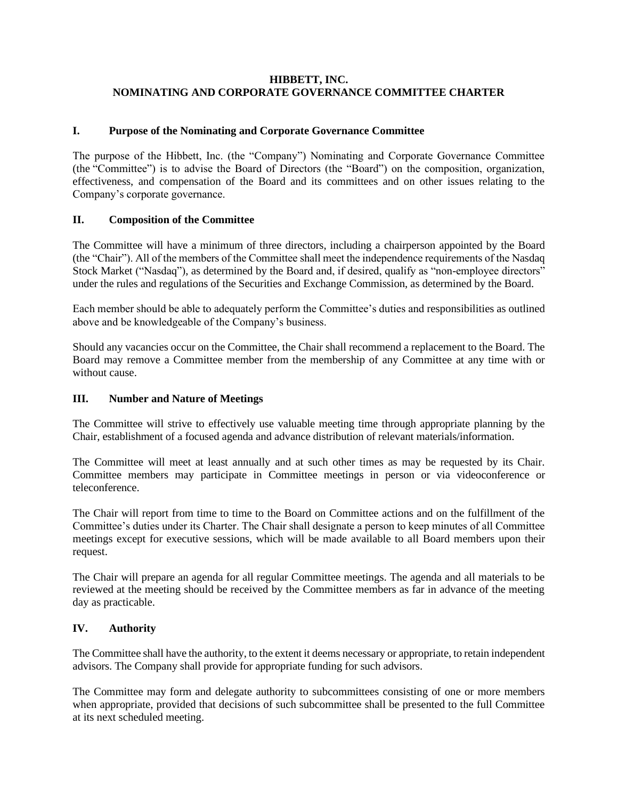# **HIBBETT, INC. NOMINATING AND CORPORATE GOVERNANCE COMMITTEE CHARTER**

### **I. Purpose of the Nominating and Corporate Governance Committee**

The purpose of the Hibbett, Inc. (the "Company") Nominating and Corporate Governance Committee (the "Committee") is to advise the Board of Directors (the "Board") on the composition, organization, effectiveness, and compensation of the Board and its committees and on other issues relating to the Company's corporate governance.

### **II. Composition of the Committee**

The Committee will have a minimum of three directors, including a chairperson appointed by the Board (the "Chair"). All of the members of the Committee shall meet the independence requirements of the Nasdaq Stock Market ("Nasdaq"), as determined by the Board and, if desired, qualify as "non-employee directors" under the rules and regulations of the Securities and Exchange Commission, as determined by the Board.

Each member should be able to adequately perform the Committee's duties and responsibilities as outlined above and be knowledgeable of the Company's business.

Should any vacancies occur on the Committee, the Chair shall recommend a replacement to the Board. The Board may remove a Committee member from the membership of any Committee at any time with or without cause.

# **III. Number and Nature of Meetings**

The Committee will strive to effectively use valuable meeting time through appropriate planning by the Chair, establishment of a focused agenda and advance distribution of relevant materials/information.

The Committee will meet at least annually and at such other times as may be requested by its Chair. Committee members may participate in Committee meetings in person or via videoconference or teleconference.

The Chair will report from time to time to the Board on Committee actions and on the fulfillment of the Committee's duties under its Charter. The Chair shall designate a person to keep minutes of all Committee meetings except for executive sessions, which will be made available to all Board members upon their request.

The Chair will prepare an agenda for all regular Committee meetings. The agenda and all materials to be reviewed at the meeting should be received by the Committee members as far in advance of the meeting day as practicable.

### **IV. Authority**

The Committee shall have the authority, to the extent it deems necessary or appropriate, to retain independent advisors. The Company shall provide for appropriate funding for such advisors.

The Committee may form and delegate authority to subcommittees consisting of one or more members when appropriate, provided that decisions of such subcommittee shall be presented to the full Committee at its next scheduled meeting.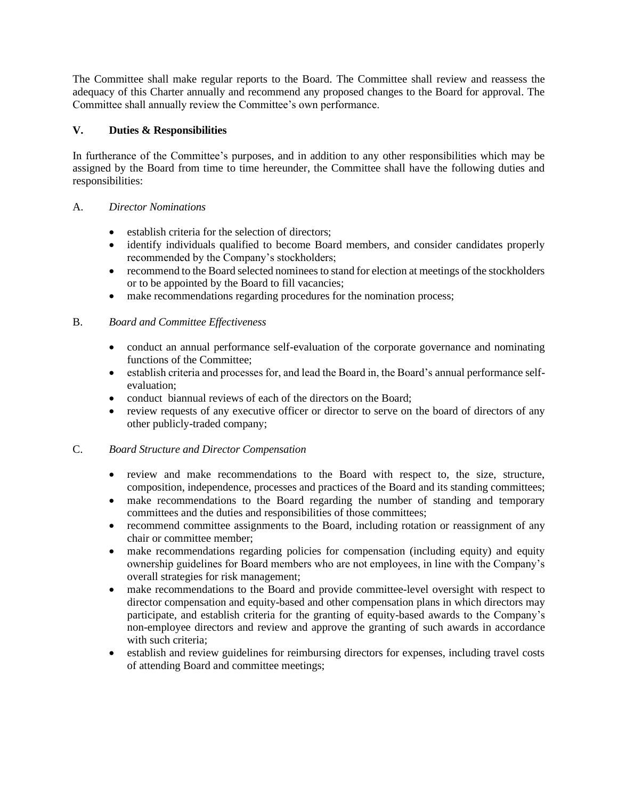The Committee shall make regular reports to the Board. The Committee shall review and reassess the adequacy of this Charter annually and recommend any proposed changes to the Board for approval. The Committee shall annually review the Committee's own performance.

# **V. Duties & Responsibilities**

In furtherance of the Committee's purposes, and in addition to any other responsibilities which may be assigned by the Board from time to time hereunder, the Committee shall have the following duties and responsibilities:

### A. *Director Nominations*

- establish criteria for the selection of directors;
- identify individuals qualified to become Board members, and consider candidates properly recommended by the Company's stockholders;
- recommend to the Board selected nominees to stand for election at meetings of the stockholders or to be appointed by the Board to fill vacancies;
- make recommendations regarding procedures for the nomination process;

# B. *Board and Committee Effectiveness*

- conduct an annual performance self-evaluation of the corporate governance and nominating functions of the Committee;
- establish criteria and processes for, and lead the Board in, the Board's annual performance selfevaluation;
- conduct biannual reviews of each of the directors on the Board;
- review requests of any executive officer or director to serve on the board of directors of any other publicly-traded company;

### C. *Board Structure and Director Compensation*

- review and make recommendations to the Board with respect to, the size, structure, composition, independence, processes and practices of the Board and its standing committees;
- make recommendations to the Board regarding the number of standing and temporary committees and the duties and responsibilities of those committees;
- recommend committee assignments to the Board, including rotation or reassignment of any chair or committee member;
- make recommendations regarding policies for compensation (including equity) and equity ownership guidelines for Board members who are not employees, in line with the Company's overall strategies for risk management;
- make recommendations to the Board and provide committee-level oversight with respect to director compensation and equity-based and other compensation plans in which directors may participate, and establish criteria for the granting of equity-based awards to the Company's non-employee directors and review and approve the granting of such awards in accordance with such criteria:
- establish and review guidelines for reimbursing directors for expenses, including travel costs of attending Board and committee meetings;